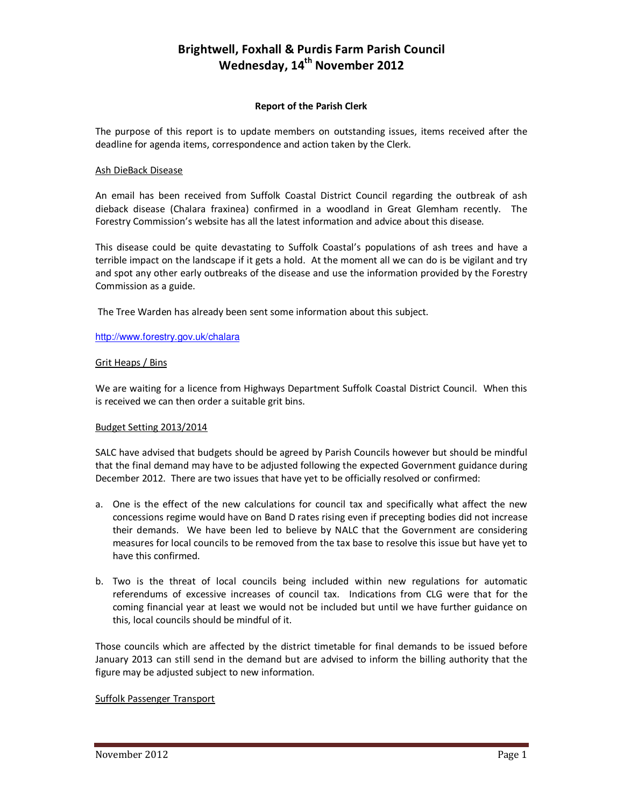# **Brightwell, Foxhall & Purdis Farm Parish Council Wednesday, 14th November 2012**

#### **Report of the Parish Clerk**

The purpose of this report is to update members on outstanding issues, items received after the deadline for agenda items, correspondence and action taken by the Clerk.

#### Ash DieBack Disease

An email has been received from Suffolk Coastal District Council regarding the outbreak of ash dieback disease (Chalara fraxinea) confirmed in a woodland in Great Glemham recently. The Forestry Commission's website has all the latest information and advice about this disease.

This disease could be quite devastating to Suffolk Coastal's populations of ash trees and have a terrible impact on the landscape if it gets a hold. At the moment all we can do is be vigilant and try and spot any other early outbreaks of the disease and use the information provided by the Forestry Commission as a guide.

The Tree Warden has already been sent some information about this subject.

http://www.forestry.gov.uk/chalara

### Grit Heaps / Bins

We are waiting for a licence from Highways Department Suffolk Coastal District Council. When this is received we can then order a suitable grit bins.

#### Budget Setting 2013/2014

SALC have advised that budgets should be agreed by Parish Councils however but should be mindful that the final demand may have to be adjusted following the expected Government guidance during December 2012. There are two issues that have yet to be officially resolved or confirmed:

- a. One is the effect of the new calculations for council tax and specifically what affect the new concessions regime would have on Band D rates rising even if precepting bodies did not increase their demands. We have been led to believe by NALC that the Government are considering measures for local councils to be removed from the tax base to resolve this issue but have yet to have this confirmed.
- b. Two is the threat of local councils being included within new regulations for automatic referendums of excessive increases of council tax. Indications from CLG were that for the coming financial year at least we would not be included but until we have further guidance on this, local councils should be mindful of it.

Those councils which are affected by the district timetable for final demands to be issued before January 2013 can still send in the demand but are advised to inform the billing authority that the figure may be adjusted subject to new information.

## Suffolk Passenger Transport